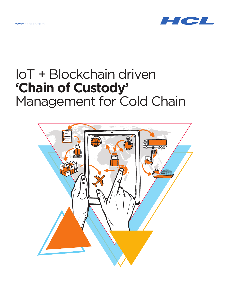www.hcltech.com



# IoT + Blockchain driven **'Chain of Custody'**  Management for Cold Chain

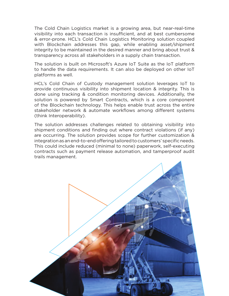The Cold Chain Logistics market is a growing area, but near-real-time visibility into each transaction is insufficient, and at best cumbersome & error-prone. HCL's Cold Chain Logistics Monitoring solution coupled with Blockchain addresses this gap, while enabling asset/shipment integrity to be maintained in the desired manner and bring about trust & transparency across all stakeholders in a supply chain transaction.

The solution is built on Microsoft's Azure IoT Suite as the IoT platform to handle the data requirements. It can also be deployed on other IoT platforms as well.

HCL's Cold Chain of Custody management solution leverages IoT to provide continuous visibility into shipment location & integrity. This is done using tracking & condition monitoring devices. Additionally, the solution is powered by Smart Contracts, which is a core component of the Blockchain technology. This helps enable trust across the entire stakeholder network & automate workflows among different systems (think Interoperability).

The solution addresses challenges related to obtaining visibility into shipment conditions and finding out where contract violations (if any) are occurring. The solution provides scope for further customization & integration as an end-to-end offering tailored to customers' specific needs. This could include reduced (minimal to none) paperwork, self-executing contracts such as payment release automation, and tamperproof audit trails management.

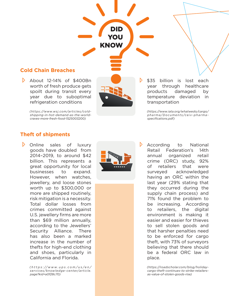## **Cold Chain Breaches**

 $\triangleright$  About 12-14% of \$400Bn worth of fresh produce gets spoilt during transit every year due to suboptimal refrigeration conditions

> *(https://www.wsj.com/articles/coldshipping-in-hot-demand-as-the-worldcraves-more-fresh-food-1525003200)*

\$35 billion is lost each year through healthcare products damaged by temperature deviation in transportation

*(https://www.iata.org/whatwedo/cargo/ pharma/Documents/ceiv-pharmaspecifications.pdf)*

#### **Theft of shipments**

 $\triangleright$ Online sales of luxury goods have doubled from 2014–2019, to around \$42 billion. This represents a great opportunity for local businesses to expand. However, when watches, jewellery, and loose stones worth up to \$300,000 or more are shipped routinely, risk mitigation is a necessity. Total dollar losses from crimes committed against U.S. jewellery firms are more than \$69 million annually, according to the Jewellers' Security Alliance. There has also been a marked increase in the number of thefts for high-end clothing and shoes, particularly in California and Florida.

> *( h t t p s : //w w w. u p s .c o m /u s /e n / services/knowledge-center/article. page?kid=a0f28c70)*



D

DID

YOU

KNOW

According to National Retail Federation's 14th annual organized retail crime (ORC) study, 92% of retailers that were surveyed acknowledged having an ORC within the last year (29% stating that they occurred during the supply chain process) and 71% found the problem to be increasing. According to retailers, the digital environment is making it easier and easier for thieves to sell stolen goods and that harsher penalties need to be enforced for cargo theft, with 73% of surveyors believing that there should be a federal ORC law in place.

*(https://roadscholar.com/blog/holidaycargo-theft-continues-to-strike-retailersas-value-of-stolen-goods-rise)*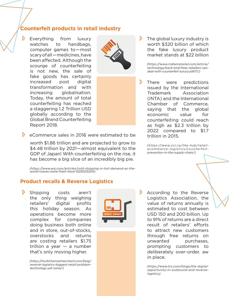## **Counterfeit products in retail industry**

D. Everything from luxury watches to handbags. computer games to — most scary of all – medicines, have been affected. Although the scourge of counterfeiting is not new, the sale of fake goods has certainly increased post digital transformation and with increasing globalisation. Today, the amount of total counterfeiting has reached a staggering 1.2 Trillion USD globally according to the Global Brand Counterfeiting Report 2018.



The global luxury industry is worth \$320 billion of which the fake luxury product market stands at \$22 billion

*(https://www.indianretailer.com/article/ technology/back-end/How-retailers-candeal-with-counterfeit-luxury.a5671/)*

D. There were predictions issued by the International Trademark Association (INTA) and the International Chamber of Commerce, saying that the global economic value for counterfeiting could reach as high as \$2.3 trillion by 2022 compared to \$1.7 trillion in 2015.

*(h t tps: //www.sci.ca /the-hub /re tailecommerce-logistics/counterfeitprevention-in-the-supply-chain/)*

 $\triangleright$  eCommerce sales in 2016 were estimated to be

worth \$1.86 trillion and are projected to grow to \$4.48 trillion by 2021—almost equivalent to the GDP of Japan! With counterfeiting on the rise, it has become a big slice of an incredibly big pie.

*(https://www.wsj.com/articles/cold-shipping-in-hot-demand-as-theworld-craves-more-fresh-food-1525003200)*

#### **Product recalls & Reverse Logistics**

Shipping costs aren't the only thing weighing retailers' digital profits this holiday season. As operations become more complex for companies doing business both online and in store, out-of-stocks, overstocks and returns are costing retailers \$1.75 trillion a year — a number that's only moving higher.

*(https://multichannelmerchant.com/blog/ reverse-logistics-biggest-retail-problemtechnology-yet-solve/)*



According to the Reverse Logistics Association, the value of returns annually is estimated to cost between USD 150 and 200 billion. Up to 91% of returns are a direct result of retailers' efforts to attract new customers through free returns on unwanted purchases, prompting customers to deliberately over-order. aw in place.

*(https://www.tcs.com/blogs/the-digitalopportunity-in-outbound-and-reverselogistics)*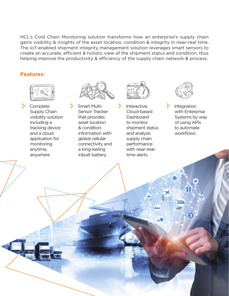HCL's Cold Chain Monitoring solution transforms how an enterprise's supply chain gains visibility & insights of the asset location, condition & integrity in near-real time. The IoT-enabled shipment integrity management solution leverages smart sensors to create an accurate, efficient & holistic view of the shipment status and condition, thus helping improve the productivity & efficiency of the supply chain network & process.

 $\triangleright$ 

#### **Features:**



 $\triangleright$  Complete Supply Chain visibility solution including a tracking device and a cloud application for monitoring anytime, anywhere



 $\triangleright$ Smart Multi-Sensor Tracker that provides asset location & condition information with global cellular connectivity and a long-lasting inbuilt battery



Interactive, Cloud-based **Dashboard** to monitor shipment status and analyze supply chain performance with near-realtime alerts



 $\triangleright$ Integration with Enterprise Systems by way of using APIs to automate workflows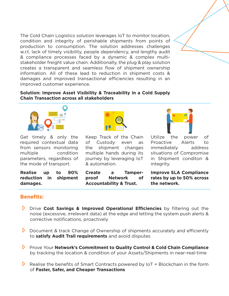The Cold Chain Logistics solution leverages IoT to monitor location, condition and integrity of perishable shipments from points of production to consumption. The solution addresses challenges w.r.t. lack of timely visibility, people dependency, and lengthy audit & compliance processes faced by a dynamic & complex multistakeholder freight value chain. Additionally, the plug & play solution creates a transparent and seamless flow of shipment ownership information. All of these lead to reduction in shipment costs & damages and improved transactional efficiencies resulting in an improved customer experience.

**Solution: Improve Asset Visibility & Traceability in a Cold Supply Chain Transaction across all stakeholders**



Get timely & only the required contextual data from sensors monitoring multiple condition parameters, regardless of the mode of transport.

**Realise up to 90% reduction in shipment damages.**



Keep Track of the Chain of Custody even as the shipment changes multiple hands during its journey by leveraging IoT & automation.

**Create a Tamperproof Network of Accountability & Trust.**

Utilize the power of Proactive Alerts to immediately address situations of Compromise in Shipment conditon & integrity.

**Improve SLA Compliance rates by up to 50% across the network.**

## **Benefits:**

- Drive **Cost Savings & Improved Operational Efficiencies** by filtering out the noise (excessive, irrelevant data) at the edge and letting the system push alerts & corrective notifications, proactively
- $\triangleright$  Document & track Change of Ownership of shipments accurately and efficiently to **satisfy Audit Trail requirements** and avoid disputes
- **Prove Your Network's Commitment to Quality Control & Cold Chain Compliance** by tracking the location & condition of your Assets/Shipments in near-real-time
- Realise the benefits of Smart Contracts powered by  $I \circ T + B I$  Blockchain in the form of **Faster, Safer, and Cheaper Transactions**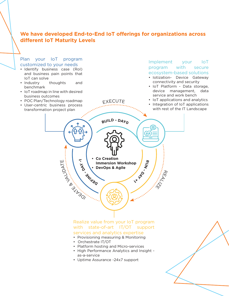### **We have developed End-to-End IoT offerings for organizations across different IoT Maturity Levels**



- Platform hosting and Micro-services
- High Performance Analytics and Insight as-a-service
- Uptime Assurance -24x7 support